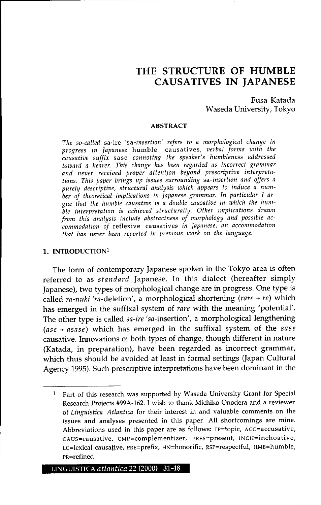# **THE STRUCTURE OF HUMBLE CAUSATIVES IN JAPANESE**

Fusa Katada Waseda University, Tokyo

#### ABSTRACT

*The so-called* sa-ire *'sa-insertion' refers to a morphological change in progress in Japanese* humble causatives, *verbal forms with the causative suffix* sase *connoting the speaker's humbleness addressed toward a hearer. This change has been regarded as incorrect grammar and never received proper attention beyond prescriptive interpretations. This paper brings up issues surrounding sa-insertion and offers a purely descriptive, structural analysis which appears to induce a number of theoretical implications in Japanese grammar. In particular I argue that the humble causative* is *a double causative in which the humble interpretation* is *achieved structurally. Other implications drawn from this analysis include abstractness of morphology and possible accommodation of* reflexive causatives *in Japanese, an accommodation that has never been reported in previous work on the language.*

#### 1. INTRODUCTION1

The form of contemporary Japanese spoken in the Tokyo area is often referred to as *standard* Japanese. In this dialect (hereafter simply Japanese), two types of morphological change are in progress. One type is called *ra-nuki 'ra-*deletion', a morphological shortening (rare → re) which has emerged in the suffixal system of *rare* with the meaning 'potential'. The other type is called *sa-ire* 'sa-insertion', a morphological lengthening  $(ase \rightarrow asase)$  which has emerged in the suffixal system of the *sase* causative. Innovations of both types of change, though different in nature (Katada, in preparation), have been regarded as incorrect grammar, which thus should be avoided at least in formal settings (Japan Cultural Agency 1995). Such prescriptive interpretations have been dominant in the

<sup>1</sup> Part of this research was supported by Waseda University Grant for Special Research Projects #99A-162. I wish to thank Michiko Onodera and a reviewer of *Linguistica Atlantica* for their interest in and valuable comments on the issues and analyses presented in this paper. All shortcomings are mine. Abbreviations used in this paper are as follows: TP=topic, Acc=accusative, cAus=causative, cMP=complementizer, PREs=present, INcH=inchoative, Lc=lexical causative, PRE=prefix, HN=honorific, Rsp=respectful, HMB=humble, pR=refined.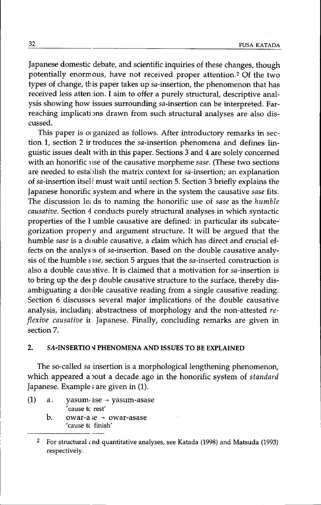Japanese domestic debate, and scientific inquiries of these changes, though potentially enorm ous, have not received proper attention.2 Of the two types of change, this paper takes up sa-insertion, the phenomenon that has received less atten ion. I aim to offer a purely structural, descriptive analysis showing how issues surrounding sa-insertion can be interpreted. Farreaching implications drawn from such structural analyses are also discussed.

This paper is organized as follows. After introductory remarks in section 1, section 2 ir troduces the  $sa$ -insertion phenomena and defines linguistic issues dealt with in this paper. Sections 3 and 4 are solely concerned with an honorific use of the causative morpheme *sase.* (These two sections are needed to establish the matrix context for sa-insertion; an explanation of sa-insertion itsel<sup>f</sup> must wait until section 5. Section 3 briefly explains the Japanese honorific system and where in the system the causative *sase* fits. The discussion leads to naming the honorific use of *sase* as the *humble causative.* Section 4 conducts purely structural analyses in which syntactic properties of the *h*umble causative are defined: in particular its subcategorization properl y and argument structure. It will be argued that the humble *sase* is a double causative, a claim which has direct and crucial effects on the analysis of sa-insertion. Based on the double causative analysis of the humble *sase,* section 5 argues that the sa-inserted construction is also a double causative. It is claimed that a motivation for sa-insertion is to bring up the deep double causative structure to the surface, thereby disambiguating a double causative reading from a single causative reading. Section 6 discusses several major implications of the double causative analysis, including abstractness of morphology and the non-attested *reflexive causative* ir. Japanese. Finally, concluding remarks are given in section 7.

# 2. SA-INSERTIO V PHENOMENA AND ISSUES TO BE EXPLAINED

The so-called *sa* insertion is a morphological lengthening phenomenon, which appeared a )out a decade ago in the honorific system of *standard* Japanese. Example; are given in (1).

- (1) a. yasum-ase  $\rightarrow$  yasum-asase 'cause tc rest'
	- b. owar-a, $e \rightarrow 0$ war-asase 'cause tc finish'

<sup>&</sup>lt;sup>2</sup> For structural  $\epsilon$  nd quantitative analyses, see Katada (1998) and Matsuda (1993) respectively.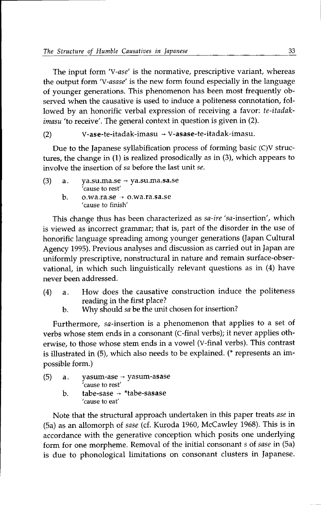The input form *'V-ase'* is the normative, prescriptive variant, whereas the output form *'V-asase'* is the new form found especially in the language of younger generations. This phenomenon has been most frequently observed when the causative is used to induce a politeness connotation, followed by an honorific verbal expression of receiving a favor: *te-itadakimasu* 'to receive'. The general context in question is given in (2).

(2)  $V\text{-}ase\text{-}t$ e-itadak-imasu  $\rightarrow$  V-asase-te-itadak-imasu.

Due to the Japanese syllabification process of forming basic  $(C)V$  structures, the change in (1) is realized prosodically as in (3), which appears to involve the insertion of *sa* before the last unit *se.*

(3) a. ya.su.ma.se  $\rightarrow$  ya.su.ma.sa.se 'cause to rest' b.  $\qquad$  o.wa.ra.se  $\rightarrow$  o.wa.ra.sa.se 'cause to finish'

This change thus has been characterized as *sa-ire* 'sa-insertion', which is viewed as incorrect grammar; that is, part of the disorder in the use of honorific language spreading among younger generations (Japan Cultural Agency 1995). Previous analyses and discussion as carried out in Japan are uniformly prescriptive, nonstructural in nature and remain surface-observational, in which such linguistically relevant questions as in (4) have never been addressed.

- (4) a. How does the causative construction induce the politeness reading in the first place?
	- b. Why should *sa* be the unit chosen for insertion?

Furthermore, sa-insertion is a phenomenon that applies to a set of verbs whose stem ends in a consonant (C-final verbs); it never applies otherwise, to those whose stem ends in a vowel (V-final verbs). This contrast is illustrated in (5), which also needs to be explained. (\* represents an impossible form.)

(5) a. b.  $y$ asum-ase  $\rightarrow$  yasum-asase 'cause to rest' tabe-sase  $\rightarrow$  \*tabe-sasase 'cause to eat'

Note that the structural approach undertaken in this paper treats *ase* in (Sa) as an allomorph of *sase* (d. Kuroda 1960, McCawley 1968). This is in accordance with the generative conception which posits one underlying form for one morpheme. Removal of the initial consonant s of *sase* in (Sa) is due to phonological limitations on consonant clusters in Japanese.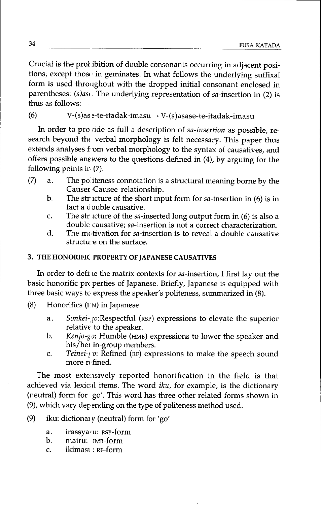Crucial is the prol ibition of double consonants occurring in adjacent positions, except those in geminates. In what follows the underlying suffixal form is used throughout with the dropped initial consonant enclosed in parentheses: *(s)ast.* The underlying representation of sa-insertion in (2) is thus as follows:

# (6)  $V-(s)$ as  $s$ -te-itadak-imasu  $\rightarrow V-(s)$ asase-te-itadak-imasu

In order to pro ride as full a description of *sa-insertion* as possible, research beyond the verbal morphology is felt necessary. This paper thus extends analyses f 'om verbal morphology to the syntax of causatives, and offers possible answers to the questions defined in (4), by arguing for the following points in (7).

- (7) a. The po.iteness connotation is a structural meaning borne by the Causer Causee relationship.
	- b. The structure of the short input form for  $sa$ -insertion in (6) is in fact a double causative.
	- c. The str icture of the sa-inserted long output form in  $(6)$  is also a double causative; sa-insertion is not a correct characterization.
	- d. The motivation for sa-insertion is to reveal a double causative structu'e on the surface.

# 3. THE HONORIFIC PROPERTY OF JAPANESE CAUSATIVES

In order to define the matrix contexts for sa-insertion, I first lay out the basic honorific pro perties of Japanese. Briefly, Japanese is equipped with three basic ways to express the speaker's politeness, summarized in (8).

- (8) Honorifics  $(FN)$  in Japanese
	- a. *Sonkei-20:Respectful* (RSP) expressions to elevate the superior relative to the speaker.
	- b. *Kenjo-go:* Humble (HMB) expressions to lower the speaker and his/her in-group members.
	- c. *Teinei-yo:* Refined (RF) expressions to make the speech sound more refined.

The most extensively reported honorification in the field is that achieved via lexical items. The word *iku*, for example, is the dictionary (neutral) form for go'. This word has three other related forms shown in (9), which vary depending on the type of politeness method used.

- (9) iku: dictionary (neutral) form for 'go'
	- a. irassyaru: RSP-form
	- b. mairu: HMB-form
	- c. ikimast: RF-form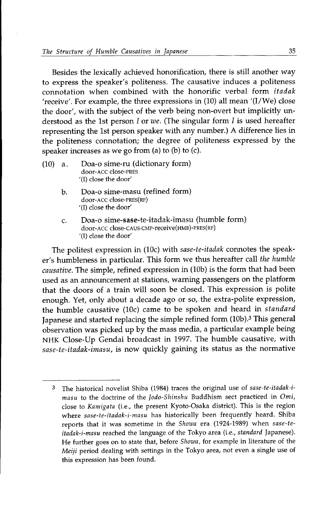Besides the lexically achieved honorification, there is still another way to express the speaker's politeness. The causative induces a politeness connotation when combined with the honorific verbal form *itadak* 'receive'. For example, the three expressions in (10) all mean '(I/We) close the door', with the subject of the verb being non-overt but implicitly understood as the 1st person *lor we.* (The singular form *I* is used hereafter representing the 1st person speaker with any number.) A difference lies in the politeness connotation; the degree of politeness expressed by the speaker increases as we go from (a) to (b) to  $(c)$ .

- (10) a. Doa-o sime-ru (dictionary form) door-ACC close-PRES '(I) close the door'
	- b. Doa-o sime-masu (refined form) door-ACC close-PREs(RF) '(I) close the door'
	- c. Doa-o sime-sase-te-itadak-imasu (humble form) door-ACC close-CAUS-CMP-receive(HMB)-PRES(RF) '(I) close the door'

The politest expression in (10c) with *sase-te-itadak* connotes the speaker's humbleness in particular. This form we thus hereafter call *the humble causative*. The simple, refined expression in (10b) is the form that had been used as an announcement at stations, warning passengers on the platform that the doors of a train will soon be closed. This expression is polite enough. Yet, only about a decade ago or so, the extra-polite expression, the humble causative (lOc) came to be spoken and heard in *standard* Japanese and started replacing the simple refined form (10b).<sup>3</sup> This general observation was picked up by the mass media, a particular example being NHK Close-Up Gendai broadcast in 1997. The humble causative, with *sase-te-itadak-imasu,* is now quickly gaining its status as the normative

<sup>3</sup> The historical novelist Shiba (1984) traces the original use of *sase-te-itadak-imasu* to the doctrine of the *Jodo-Shinshu* Buddhism sect practiced in *Omi,* close to *Kamigata* (i.e., the present Kyoto-Osaka district). This is the region where *sase-te-itadak-i-masu* has historically been frequently heard. Shiba reports that it was sometime in the *Showa* era (1924-1989) when *sase-teitadak-i-masu* reached the language of the Tokyo area (Le., *standard* Japanese). He further goes on to state that, before *Showa,* for example in literature of the *Meiji* period dealing with settings in the Tokyo area, not even a single use of this expression has been found.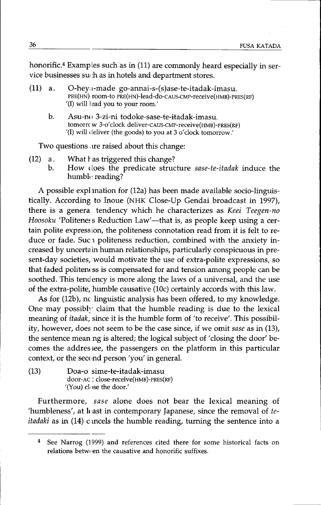honorific.<sup>4</sup> Examples such as in (11) are commonly heard especially in service businesses such as in hotels and department stores.

- (11) a. O-hey a-made go-annai-s-(s)ase-te-itadak-imasu. PRE(HN) room-to PRE(HN)-lead-do-CAUS-CMP-receive(HMB)-PRES(RF) '(1) will )ead you to your room:
	- b. Asu-n(, 3-zi-ni todoke-sase-te-itadak-imasu. tomorrc w 3-o' clock deliver-CAUS-CMP-receive(HMB)-PRES(RF) '(I) will (leliver (the goods) to you at 3 o'clock tomorrow.'

Two questions, are raised about this change:

- $(12)$  a. What *l* as triggered this change?
	- b. How (loes the predicate structure *sase-te-itadak* induce the humble reading?

A possible expl mation for (12a) has been made available socio-linguistically. According to Inoue (NHK Close-Up Gendai broadcast in 1997), there is a genera. tendency which he characterizes as *Keei Teegen-no Hoosoku* 'Politeness Reduction Law'-that is, as people keep using a certain polite expression, the politeness connotation read from it is felt to reduce or fade. Suc 1 politeness reduction, combined with the anxiety increased by uncerta in human relationships, particularly conspicuous in present-day societies, would motivate the use of extra-polite expressions, so that faded politeness is compensated for and tension among people can be soothed. This tendency is more along the laws of a universal, and the use of the extra-polite, humble causative  $(10c)$  certainly accords with this law.

As for (12b), nc linguistic analysis has been offered, to my knowledge. One may possibly claim that the humble reading is due to the lexical meaning of *itadak,* since it is the humble form of 'to receive'. This possibility, however, does not seem to be the case since, if we omit *sase* as in (13), the sentence meaning is altered; the logical subject of 'closing the door' becomes the addres see, the passengers on the platform in this particular context, or the second person 'you' in general.

(13) Doa-o sime-te-itadak-imasu door-AC : close-receive(HMB)-PRES(RF) '(You) close the door.'

Furthermore, *sase* alone does not bear the lexical meaning of 'humbleness', at kast in contemporary Japanese, since the removal of *teitadaki* as in (14) c.mcels the humble reading, turning the sentence into a

See Narrog (1999) and references cited there for some historical facts on  $relations$  between the causative and honorific suffixes.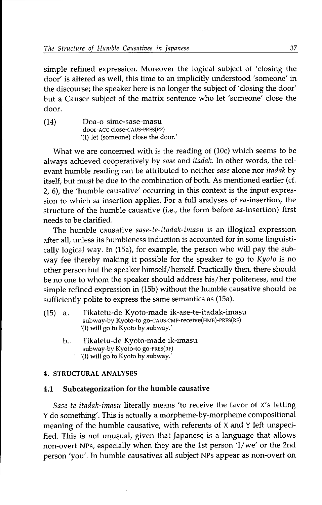simple refined expression. Moreover the logical subject of 'closing the door' is altered as well, this time to an implicitly understood 'someone' in the discourse; the speaker here is no longer the subject of 'closing the door' but a Causer subject of the matrix sentence who let 'someone' close the door.

(14) Doa-o sime-sase-masu door-ACC close-cAus-PRES(RF) '(1) let (someone) close the door.'

What we are concerned with is the reading of (10c) which seems to be always achieved cooperatively by *sase* and *itadak.* In other words, the relevant humble reading can be attributed to neither *sase* alone nor *itadak* by itself, but must be due to the combination of both. As mentioned earlier (cf. 2, 6), the 'humble causative' occurring in this context is the input expression to which sa-insertion applies. For a full analyses of sa-insertion, the structure of the humble causative (i.e., the form before sa-insertion) first needs to be clarified.

The humble causative *sase-te-itadak-imasu* is an illogical expression after all, unless its humbleness induction is accounted for in some linguistically logical way. In (15a), for example, the person who will pay the subway fee thereby making it possible for the speaker to go to *Kyoto* is no other person but the speaker himself/herself. Practically then, there should be no one to whom the speaker should address his/her politeness, and the simple refined expression in (15b) without the humble causative should be sufficiently polite to express the same semantics as (15a).

- (15) a. Tikatetu-de Kyoto-made ik-ase-te-itadak-imasu subway-by Kyoto-to go-cAus-cMP-receive(HMB)-PRES(RF) '(1) will go to Kyoto by subway.'
	- b.. Tikatetu-de Kyoto-made ik-imasu subway-by Kyoto-to go-PRES(RF) '(I) will go to Kyoto by subway.'

# 4. STRUCTURAL ANALYSES

# 4.1 Subcategorization for the humble causative

*Sase-te-itadak-imasu* literally means 'to receive the favor of x's letting <sup>Y</sup> do something'. This is actually a morpheme-by-morpheme compositional meaning of the humble causative, with referents of <sup>X</sup> and Y left unspecified. This is not unusual, given that Japanese is a language that allows non-overt NPs, especially when they are the 1st person 'I/we' or the 2nd person 'you'. In humble causatives all subject NPs appear as non-overt on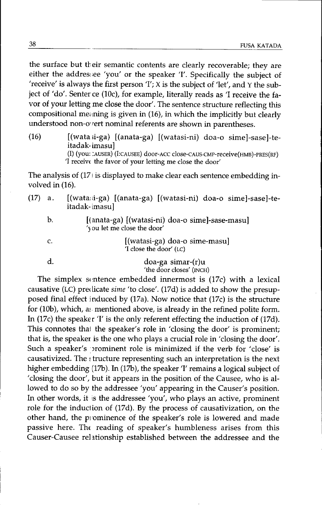the surface but their semantic contents are clearly recoverable; they are either the addressee 'you' or the speaker 'I'. Specifically the subject of 'receive' is always the first person 'I';  $X$  is the subject of 'let', and  $Y$  the subject of 'do'. Senter ce (10c), for example, literally reads as 'I receive the favor of your letting me close the door'. The sentence structure reflecting this compositional meaning is given in  $(16)$ , in which the implicitly but clearly understood non-o'rert nominal referents are shown in parentheses.

 $(16)$  [(wata ii-ga) [(anata-ga) [(watasi-ni) do a-o sime]-sase]-teitadak- imasu] (I) (you: :AUSER) (I:CAUSEE) door-ACC close-CAUS-CMP-receive(HMB)-PRES(RF) 'I receiv£ the favor of your letting me close the door'

The analysis of  $(17)$  is displayed to make clear each sentence embedding involved in (16).

- (17) a. [(wata:d-ga) [(anata-ga) [(watasi-ni) doa-o sime]-sase]-teitadak-imasul
	- b. [(anata-ga) [(watasi-ni) doa-o sime]-sase-masu] 'yau let me close the door'

c.

[(watasi-ga) doa-a sime-masu] 'I close the door' (LC)

### d. doa-ga simar-(r)u 'the door closes' (INCH)

The simplex sentence embedded innermost is  $(17c)$  with a lexical causative (LC) predicate *sime* 'to close'. (17d) is added to show the presupposed final effect induced by  $(17a)$ . Now notice that  $(17c)$  is the structure for (10b), which, as mentioned above, is already in the refined polite form. In (17c) the speaker  $T$  is the only referent effecting the induction of (17d). This connotes thai the speaker's role in 'closing the door' is prominent; that is, the speaker is the one who plays a crucial role in 'closing the door'. Such a speaker's prominent role is minimized if the verb for 'close' is causativized. The *tructure representing such an interpretation* is the next higher embedding (17b). In (17b), the speaker 'I' remains a logical subject of 'closing the door', but it appears in the position of the Causee, who is allowed to do so by the addressee 'you' appearing in the Causer's position. In other words, it is the addressee 'you', who plays an active, prominent role for the induction of (17d). By the process of causativization, on the other hand, the pyominence of the speaker's role is lowered and made passive here. The reading of speaker's humbleness arises from this Causer-Causee relationship established between the addressee and the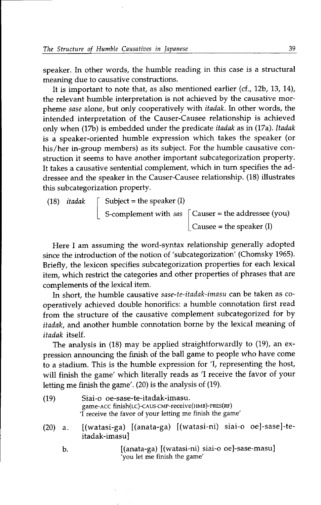speaker. In other words, the humble reading in this case is a structural meaning due to causative constructions.

It is important to note that, as also mentioned earlier (cf., 12b, 13, 14), the relevant humble interpretation is not achieved by the causative morpheme *sase* alone, but only cooperatively with *itadak.* In other words, the intended interpretation of the Causer-Causee relationship is achieved only when (17b)is embedded under the predicate *itadak* as in (17a).*Itadak* is a speaker-oriented humble expression which takes the speaker (or his/her in-group members) as its subject. For the humble causative construction it seems to have another important subcategorization property. It takes a causative sentential complement, which in turn specifies the addressee and the speaker in the Causer-Causee relationship. (18) illustrates this subcategorization property.

(18) *itadak* 
$$
\begin{bmatrix} \text{Subject = the speaker (I)} \\ \text{S-complement with } \text{sas} \\ \text{Cause} = \text{the addressee (you)} \end{bmatrix}
$$

Here I am assuming the word-syntax relationship generally adopted since the introduction of the notion of 'subcategorization' (Chomsky 1965). Briefly, the lexicon specifies subcategorization properties for each lexical item, which restrict the categories and other properties of phrases that are complements of the lexical item.

In short, the humble causative *sase-te-itadak-imasu* can be taken as cooperatively achieved double honorifics: a humble connotation first read from the structure of the causative complement subcategorized for by *itadak,* and another humble connotation borne by the lexical meaning of *itadak* itself.

The analysis in (18) may be applied straightforwardly to (19), an expression announcing the finish of the ball game to people who have come to a stadium. This is the humble expression for 'I, representing the host, will finish the game' which literally reads as '1 receive the favor of your letting me finish the game'. (20) is the analysis of (19).

- (19) Siai-o oe-sase-te-itadak-imasu. game-ACC finish(LC)-CAUS-CMP-receive(HMB)-PRES(RF) 'I receive the favor of your letting me finish the game'
- (20) a. [(watasi-ga) [(anata-ga) [(watasi-ni) siai-o oe)-sase)-teitadak-imasu)
	- b. [(anata-ga) [(watasi-ni) siai-o oe]-sase-masu] 'you let me finish the game'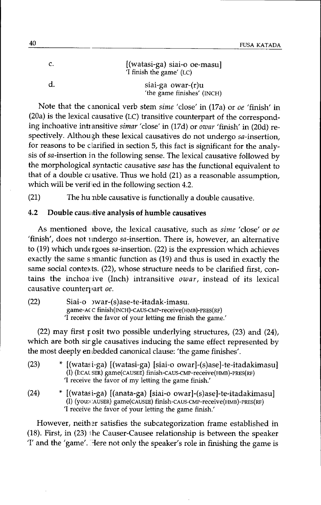| c. | [(watasi-ga) siai-o oe-masu]<br>'I finish the game' (LC) |
|----|----------------------------------------------------------|
| d. | siai-ga owar-(r)u<br>'the game finishes' (INCH)          |

Note that the canonical verb stem *sime* 'close' in (17a) or *oe* 'finish' in (20a) is the lexical causative (LC) transitive counterpart of the corresponding inchoative intransitive *simar* 'close' in (17d) or *owar* 'finish' in (20d) respectively. Althou gh these lexical causatives do not undergo sa-insertion, for reasons to be clarified in section 5, this fact is significant for the analysis of sa-insertion in the following sense. The lexical causative followed by the morphological syntactic causative *sase* has the functional equivalent to that of a double causative. Thus we hold (21) as a reasonable assumption, which will be verif ied in the following section 4.2.

(21) The hu nble causative is functionally a double causative.

# 4.2 Double caus; tive analysis of humble causatives

As mentioned lbove, the lexical causative, such as *sime* 'close' or *oe* 'finish', does not undergo sa-insertion. There is, however, an alternative to (19) which undergoes  $sa$ -insertion. (22) is the expression which achieves exactly the same s mantic function as  $(19)$  and thus is used in exactly the same social contexts. (22), whose structure needs to be clarified first, contains the inchoaive (Inch) intransitive *owar,* instead of its lexical causative counterpart oe.

(22) Siai-o )war-(s)ase-te-itadak-imasu. game-A( C finish(INCH)-CAUs-cMP-receive(HMB)-PRES(RF) T receive the favor of your letting me finish the game.'

(22) may first *<sup>F</sup>* osit two possible underlying structures, (23) and (24), which are both sir gle causatives inducing the same effect represented by the most deeply en bedded canonical clause: 'the game finishes'.

- (23) \* [(watasi-ga) [(watasi-ga) [siai-o owar]-(s)ase]-te-itadakimasu] (I) (I:CAL SER) game(CAUSEE) finish-CAUS-CMP-receive(HMB)-PRES(RF) 'I receive the favor of my letting the game finish:
- (24) \* [(watasi-ga) [(anata-ga) [siai-o owar]-(s)ase]-te-itadakimasu] (I) (you:CAUSER) game(CAUSEE) finish-CAUS-CMP-receive(HMB)-PRES(RF) 'I receive the favor of your letting the game finish.'

However, neither satisfies the subcategorization frame established in  $(18)$ . First, in  $(23)$  the Causer-Causee relationship is between the speaker *I'* and the *'game'*. Here not only the speaker's role in finishing the game is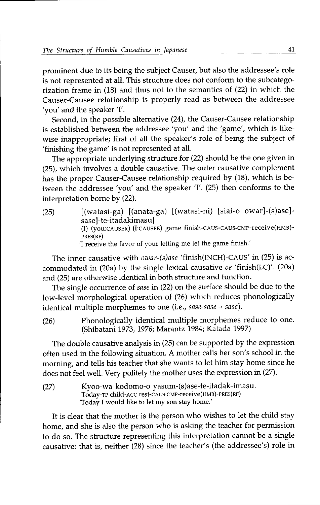prominent due to its being the subject Causer, but also the addressee's role is not represented at all. This structure does not conform to the subcategorization frame in (18) and thus not to the semantics of (22) in which the Causer-Causee relationship is properly read as between the addressee 'you' and the speaker '1'.

Second, in the possible alternative (24), the Causer-Causee relationship is established between the addressee 'you' and the 'game', which is likewise inappropriate; first of all the speaker's role of being the subject of 'finishing the game' is not represented at all.

The appropriate underlying structure for (22) should be the one given in (25), which involves a double causative. The outer causative complement has the proper Causer-Causee relationship required by (18), which is between the addressee 'you' and the speaker '1'. (25) then conforms to the interpretation borne by (22).

(25) [(watasi-ga) [(anata-ga) [(watasi-ni) [siai-o owar]-(s)ase] sase]-te-itadakimasu] (I) (YOU:CAUSER) (1:CAUSEE) game finish-cAuS-CAUs-cMP-receive(HMB)- PRES(RF) 'I receive the favor of your letting me let the game finish.'

The inner causative with *owar-(s)ase* 'finish(INCH)-CAUS' in (25) is accommodated in (20a) by the single lexical causative *oe* 'finish(LC)'. (20a) and (25) are otherwise identical in both structure and function.

The single occurrence of *sase* in (22) on the surface should be due to the low-level morphological operation of (26) which reduces phonologically identical multiple morphemes to one (i.e., *sase-sase*  $\rightarrow$  *sase*).

(26) Phonologically identical multiple morphemes reduce to one. (Shibatani 1973, 1976; Marantz 1984; Katada 1997)

The double causative analysis in (25) can be supported by the expression often used in the following situation. A mother calls her son's school in the morning, and tells his teacher that she wants to let him stay home since he does not feel well. Very politely the mother uses the expression in (27).

(27) Kyoo-wa kodomo-o yasum-(s)ase-te-itadak-imasu. TodaY-TP child-Acc rest-cAus-cMP-receive(HMB)-PRES(RF) 'Today I would like to let my son stay home.'

It is clear that the mother is the person who wishes to let the child stay home, and she is also the person who is asking the teacher for permission to do so. The structure representing this interpretation cannot be a single causative: that is, neither (28) since the teacher's (the addressee's) role in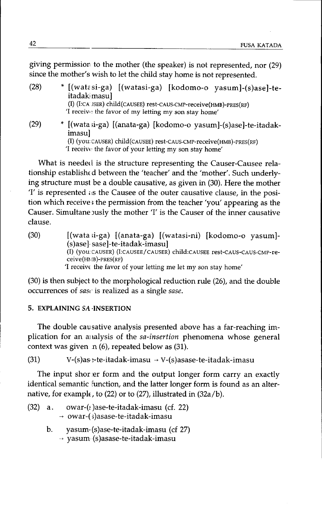giving permission to the mother (the speaker) is not represented, nor (29) since the mother's wish to let the child stay home is not represented.

| (28) | * [(watasi-ga) [(watasi-ga) [kodomo-o yasum]-(s)ase]-te-<br>itadak masu]                                                 |  |  |
|------|--------------------------------------------------------------------------------------------------------------------------|--|--|
|      | (I) (I:CA JSER) child(CAUSEE) rest-CAUS-CMP-receive(HMB)-PRES(RF)<br>T receive the favor of my letting my son stay home' |  |  |
| (29) | * [(wata si-ga) [(anata-ga) [kodomo-o yasum]-(s)ase]-te-itadak-<br>imasul                                                |  |  |
|      | (I) (you: CAUSER) child(CAUSEE) rest-CAUS-CMP-receive(HMB)-PRES(RF)                                                      |  |  |
|      | 'I receive the favor of your letting my son stay home'                                                                   |  |  |

What is needed is the structure representing the Causer-Causee relationship established between the 'teacher' and the 'mother'. Such underlying structure must be a double causative, as given in (30). Here the mother  $T'$  is represented  $\alpha$  the Causee of the outer causative clause, in the position which receive, the permission from the teacher 'you' appearing as the Causer. Simultane Jusly the mother 'I' is the Causer of the inner causative clause.

(30) [(wata ;i-ga) [(anata-ga) [(watasi-ni) [kodomo-o yasum]-  $(s)$ ase] $-s$ ase]-te-itadak-imasu] (1) (YOU:CAUSER)(I:CAUSEE/CAUSER) child:cAUSEE rest-CAUS-CAUS-CMP-receive(HMB)-PRES(RF) 'I receiv $\epsilon$  the favor of your letting me let my son stay home'

 $(30)$  is then subject to the morphological reduction rule  $(26)$ , and the double occurrences of *sasl'* is realized as a single *sase.*

### 5. **EXPLAINING** *SA* .INSERTION

The double causative analysis presented above has a far-reaching implication for an analysis of the *sa-insertion* phenomena whose general context was given  $n(6)$ , repeated below as  $(31)$ .

(31)  $V-(s)$ as :-te-itadak-imasu  $\rightarrow V-(s)$ asase-te-itadak-imasu

The input shor er form and the output longer form carry an exactly identical semantic function, and the latter longer form is found as an alternative, for example, to  $(22)$  or to  $(27)$ , illustrated in  $(32a/b)$ .

- $(32)$  a. owar- $(1)$ ase-te-itadak-imasu (cf. 22)  $\rightarrow$  owar-( $\frac{1}{2}$ )asase-te-itadak-imasu
	- b. yasum-(s)ase-te-itadak-imasu (cf 27)  $\rightarrow$  yasum (s)asase-te-itadak-imasu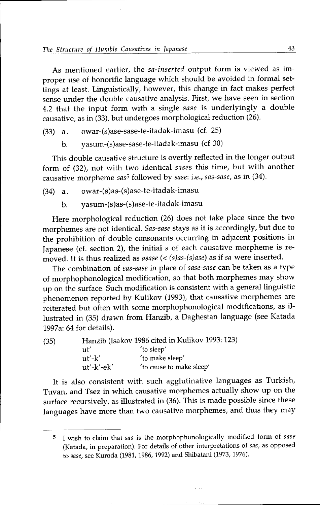As mentioned earlier, the *sa-inserted* output form is viewed as improper use of honorific language which should be avoided in formal settings at least. Linguistically, however, this change in fact makes perfect sense under the double causative analysis. First, we have seen in section 4.2 that the input form with a single *sase* is underlyingly a double causative, as in (33), but undergoes morphological reduction (26).

- $(33)$  a. owar- $(s)$ ase-sase-te-itadak-imasu  $(cf. 25)$ 
	- b. yasum-(s)ase-sase-te-itadak-imasu (cf 30)

This double causative structure is overtly reflected in the longer output form of (32), not with two identical *sases* this time, but with another causative morpheme *sasS* followed by *sase:* Le.,*sas-sase,* as in (34).

- (34) a. owar-(s)as-(s)ase-te-itadak-imasu
	- b. yasum-(s)as-(s)ase-te-itadak-imasu

Here morphological reduction (26) does not take place since the two morphemes are not identical. *Sas-sase* stays as it is accordingly, but due to the prohibition of double consonants occurring in adjacent positions in Japanese (cf. section 2), the initial  $s$  of each causative morpheme is removed. It is thus realized as *asase* (< (s)as-(s)ase) as if sa were inserted.

The combination of *sas-sase* in place of *sase-sase* can be taken as a type of morphophonological modification, so that both morphemes may show up on the surface. Such modification is consistent with a general linguistic phenomenon reported by Kulikov (1993), that causative morphemes are reiterated but often with some morphophonological modifications, as illustrated in (35) drawn from Hanzib, a Daghestan language (see Katada 1997a: 64 for details).

(35) Hanzib (Isakov 1986cited in Kulikov 1993:123) ut' 'to sleep' ut'-k' 'to make sleep' ut'-k'-ek'  $\qquad$  to cause to make sleep'

It is also consistent with such agglutinative languages as Turkish, Tuvan, and Tsez in which causative morphemes actually show up on the surface recursively, as illustrated in (36). This is made possible since these languages have more than two causative morphemes, and thus they may

S I wish to claim that *sas* is the morphophonologically modified form of *sase* (Katada, in preparation). For details of other interpretations of *sas,* as opposed to *sase,* see Kuroda (1981, 1986, 1992) and Shibatani (1973, 1976).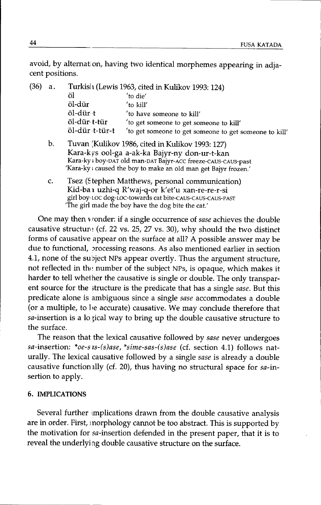avoid, by alternation, having two identical morphemes appearing in adjacent positions.

| (36)<br>a. |                | Turkislı (Lewis 1963, cited in Kulikov 1993: 124)      |  |
|------------|----------------|--------------------------------------------------------|--|
|            | öl             | 'to die'                                               |  |
|            | öl-dür         | 'to kill'                                              |  |
|            | öl-dür t       | 'to have someone to kill'                              |  |
|            | öl-dür t-tür   | 'to get someone to get someone to kill'                |  |
|            | öl-dür t-tür-t | 'to get someone to get someone to get someone to kill' |  |
|            |                |                                                        |  |

- b. Tuvan (Kulikov 1986, cited in Kulikov 1993: 127) Kara-k VS ool-ga a-ak-ka Bajyr-ny don-ur-t-kan Kara-ky; boy-OAT old man-DAT Bajyr-Acc freeze-cAus-cAus-past 'Kara-ky; caused the boy to make an old man get Bajyr frozen.'
- c. Tsez (Stephen Matthews, personal communication) Kid-ba 1 uzhi-q R'waj-q-or k'et'u xan-re-re-r-si girl boy. LOCdog-LOc-towards cat bite-cAus-CAUS-CAUS-PAST 'The girl made the boy have the dog bite the cat.'

One may then *v* ronder: if a single occurrence of *sase* achieves the double causative structure (cf. 22 vs. 25, 27 vs. 30), why should the two distinct forms of causative appear on the surface at all? A possible answer may be due to functional, processing reasons. As also mentioned earlier in section 4.1, none of the subject NPs appear overtly. Thus the argument structure, not reflected in the number of the subject NPs, is opaque, which makes it harder to tell whether the causative is single or double. The only transparent source for the ,tructure is the predicate that has a single *sase.* But this predicate alone is ambiguous since a single *sase* accommodates a double (or a multiple, to be accurate) causative. We may conclude therefore that sa-insertion is a lo zical way to bring up the double causative structure to the surface.

The reason that the lexical causative followed by *sase* never undergoes sa-insertion: *\*oe-s ls-(s)ase, \*sime-sas-(s)ase* (d. section 4.1) follows naturally. The lexical causative followed by a single *sase* is already a double causative functionally (cf. 20), thus having no structural space for  $sa$ -insertion to apply.

### 6. IMPLICATIONS

Several further implications drawn from the double causative analysis are in order. First, inorphology cannot be too abstract. This is supported by the motivation for sa-insertion defended in the present paper, that it is to reveal the underlying double causative structure on the surface.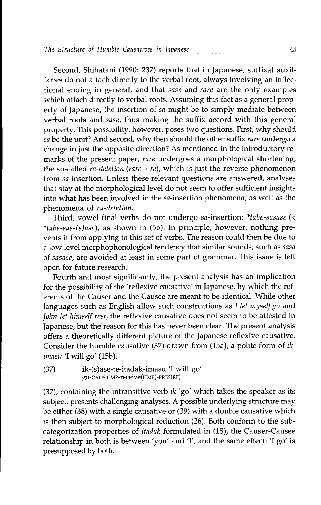Second, Shibatani (1990: 237) reports that in Japanese, suffixal auxiliaries do not attach directly to the verbal root, always involving an inflectional ending in general, and that *sase* and *rare* are the only examples which attach directly to verbal roots. Assuming this fact as a general property of Japanese, the insertion of *sa* might be to simply mediate between verbal roots and *sase,* thus making the suffix accord with this general property. This possibility, however, poses two questions. First, why should *sa* be the unit? And second, why then should the other suffix *rare* undergo a change in just the opposite direction? As mentioned in the introductory remarks of the present paper, *rare* undergoes a morphological shortening, the so-called  $ra\text{-}deletion (rare \rightarrow re)$ , which is just the reverse phenomenon from sa-insertion. Unless these relevant questions are answered, analyses that stay at the morphological level do not seem to offer sufficient insights into what has been involved in the sa-insertion phenomena, as well as the phenomena of *ra-deletion.*

Third, vowel-final verbs do not undergo sa-insertion: \*tabe-sasase (< *\*tabe-sas-(s)ase),* as shown in (Sb). In principle, however, nothing prevents it from applying to this set of verbs. The reason could then be due to a low level morphophonological tendency that similar sounds, such as *sasa* of *sasase,* are avoided at least in some part of grammar. This issue is left open for future research.

Fourth and most significantly, the present analysis has an implication for the possibility of the 'reflexive causative' in Japanese, by which the referents of the Causer and the Causee are meant to be identical. While other languages such as English allow such constructions as *I let myself go* and *John let himself rest,* the reflexive causative does not seem to be attested in Japanese, but the reason for this has never been clear. The present analysis offers a theoretically different picture of the Japanese reflexive causative. Consider the humble causative (37) drawn from (ISa), a polite form of *ikimasu* 'I will go' (ISb).

(37) ik-(s)ase-te-itadak-imasu 'I will go' go-CAUS-CMP-receive(HMB)-PRES(RF)

(37), containing the intransitive verb *ik* 'go' which takes the speaker as its subject, presents challenging analyses. A possible underlying structure may be either (38) with a single causative or (39) with a double causative which is then subject to morphological reduction (26). Both conform to the subcategorization properties of *itadak* formulated in (18), the Causer-Causee relationship in both is between 'you' and 'I', and the same effect: 'I go' is presupposed by both.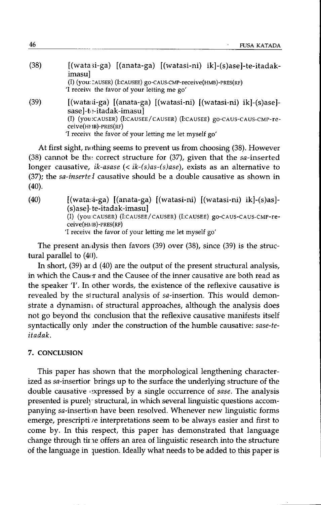| (38) | [(watasi-ga) [(anata-ga) [(watasi-ni) ik]-(s)ase]-te-itadak-<br>imasul                      |
|------|---------------------------------------------------------------------------------------------|
|      | (I) (you: CAUSER) (I:CAUSEE) go-CAUS-CMP-receive (HMB)-PRES (RF)                            |
|      | T receive the favor of your letting me go'                                                  |
| (39) | [(watasi-ga) [(anata-ga) [(watasi-ni) [(watasi-ni) ik]-(s)ase]-<br>sasel-te-itadak-imasul   |
|      | (I) (you:CAUSER) (I:CAUSEE/CAUSER) (I:CAUSEE) go-CAUS-CAUS-CMP-re-<br>$ceive(HMB)-PRES(RF)$ |
|      | T receive the favor of your letting me let myself go'                                       |

At first sight, nothing seems to prevent us from choosing (38). However (38) cannot be the correct structure for (37), given that the sa-inserted longer causative, *ik-asase* (< *ik-(s)as-(s)ase*), exists as an alternative to (37); the *sa-insertel* causative should be a double causative as shown in (40).

(40) [(wata:.i-ga) [(anata-ga) [(watasi-ni) [(watasi-ni) ik]-(s)as]- (s)ase].te-itadak-imasu] (I) (you CAUSER) (I:CAUSEE/ CAUSER) (I:CAUSEE) gO-CAUS-CAUS-CMP-receive(m IB)-PRES(RF) 'I receivE the favor of your letting me let myself go'

The present analysis then favors  $(39)$  over  $(38)$ , since  $(39)$  is the structural parallel to  $(40)$ .

In short, (39) ard (40) are the output of the present structural analysis, in which the Causer and the Causee of the inner causative are both read as the speaker T. In other words, the existence of the reflexive causative is revealed by the slructural analysis of sa-insertion. This would demonstrate a dynamisn $\iota$  of structural approaches, although the analysis does not go beyond the conclusion that the reflexive causative manifests itself syntactically only mder the construction of the humble causative: *sase-teitadak.*

### 7. CONCLUSION

This paper has shown that the morphological lengthening characterized as sa-insertior brings up to the surface the underlying structure of the double causative I~xpressedby a single occurrence of *sase.* The analysis presented is purely structural, in which several linguistic questions accompanying sa-insertion have been resolved. Whenever new linguistic forms emerge, prescripti re interpretations seem to be always easier and first to come by. In this respect, this paper has demonstrated that language change through tirne offers an area of linguistic research into the structure of the language in question. Ideally what needs to be added to this paper is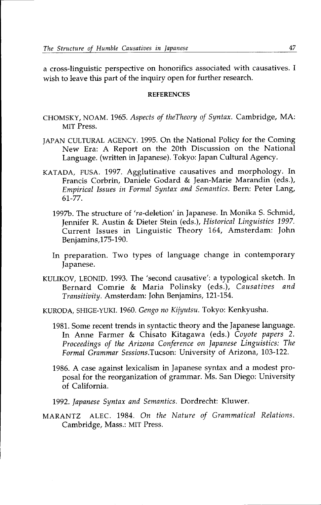a cross-linguistic perspective on honorifics associated with causatives. I wish to leave this part of the inquiry open for further research.

#### **REFERENCES**

- CHOMSKY, NOAM. 1965.*Aspects of theTheory of Syntax.* Cambridge, MA: MIT Press.
- JAPAN CULTURAL AGENCY. 1995.On the National Policy for the Coming New Era: A Report on the 20th Discussion on the National Language. (written in Japanese). Tokyo: Japan Cultural Agency.
- KATADA, FUSA. 1997. Agglutinative causatives and morphology. In Francis Corbrin, Daniele Godard & Jean-Marie Marandin (eds.), *Empirical Issues in Formal Syntax and Semantics.* Bern: Peter Lang, 61-77.
	- 1997b.The structure of 'ra-deletion' in Japanese. In Monika S. Schmid, Jennifer R. Austin & Dieter Stein (eds.), *Historical Linguistics 1997.* Current Issues in Linguistic Theory 164, Amsterdam: John Benjamins,175-190.
	- In preparation. Two types of language change in contemporary Japanese.
- KULIKOV, LEONID. 1993.The 'second causative': a typological sketch. In Bernard Comrie & Maria Polinsky (eds.), *Causatives and Transitivity.* Amsterdam: John Benjamins, 121-154.
- KURODA, SHIGE-YUKI. 1960.*Gengo no Kijyutsu.* Tokyo: Kenkyusha.
	- 1981.Some recent trends in syntactic theory and the Japanese language. In Anne Farmer & Chisato Kitagawa (eds.) *Coyote papers 2. Proceedings of the Arizona Conference on Japanese Linguistics: The Formal Grammar Sessions.Tucson:* University of Arizona, 103-122.
	- 1986. A case against lexicalism in Japanese syntax and a modest proposal for the reorganization of grammar. Ms. San Diego: University of California.
	- *1992. Japanese Syntax and Semantics.* Dordrecht: Kluwer.
- MARANTZ ALEC. 1984. *On the Nature of Grammatical Relations.* Cambridge, Mass.: MIT Press.